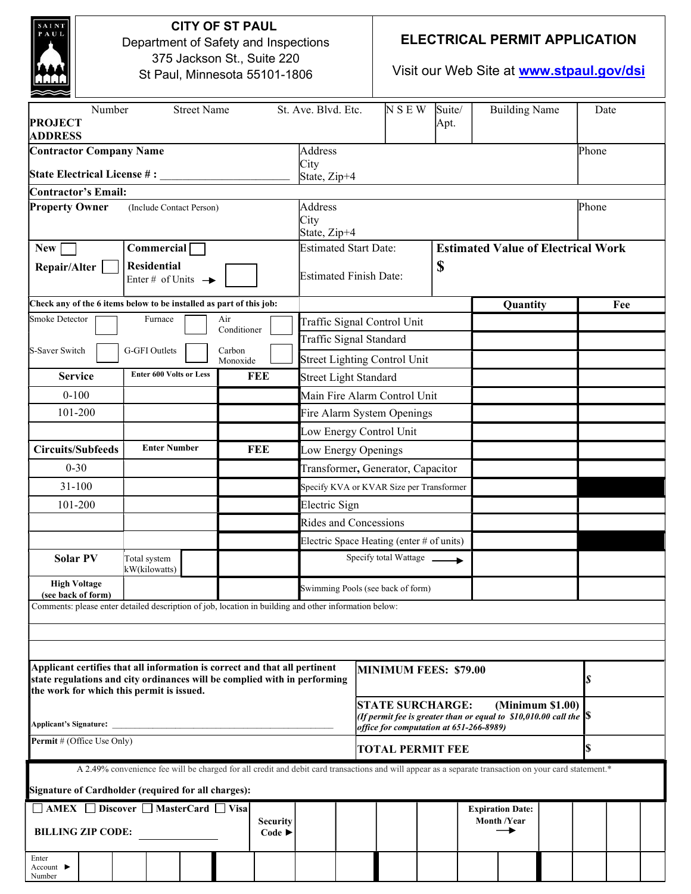| <b>CITY OF ST PAUL</b><br>AUI<br>Department of Safety and Inspections<br>375 Jackson St., Suite 220<br>St Paul, Minnesota 55101-1806                                                                 |                                                      |        |                    |                         |                                                                                                                          |                                                                    | <b>ELECTRICAL PERMIT APPLICATION</b><br>Visit our Web Site at <b>www.stpaul.gov/dsi</b> |                |                                               |  |       |       |  |
|------------------------------------------------------------------------------------------------------------------------------------------------------------------------------------------------------|------------------------------------------------------|--------|--------------------|-------------------------|--------------------------------------------------------------------------------------------------------------------------|--------------------------------------------------------------------|-----------------------------------------------------------------------------------------|----------------|-----------------------------------------------|--|-------|-------|--|
| <b>Street Name</b><br>Number<br><b>PROJECT</b><br><b>ADDRESS</b>                                                                                                                                     |                                                      |        |                    |                         |                                                                                                                          | St. Ave. Blvd. Etc.                                                | <b>NSEW</b>                                                                             | Suite/<br>Apt. | <b>Building Name</b>                          |  | Date  |       |  |
| <b>Contractor Company Name</b>                                                                                                                                                                       |                                                      |        |                    |                         |                                                                                                                          | <b>Address</b>                                                     |                                                                                         |                |                                               |  |       | Phone |  |
| State Electrical License #:                                                                                                                                                                          |                                                      |        |                    |                         |                                                                                                                          | City<br>State, Zip+4                                               |                                                                                         |                |                                               |  |       |       |  |
| <b>Contractor's Email:</b>                                                                                                                                                                           |                                                      |        |                    |                         |                                                                                                                          |                                                                    |                                                                                         |                |                                               |  |       |       |  |
| <b>Property Owner</b><br>(Include Contact Person)                                                                                                                                                    |                                                      |        |                    |                         | Address<br>City<br>State, Zip+4                                                                                          |                                                                    |                                                                                         |                |                                               |  | Phone |       |  |
| Commercial<br><b>New</b>                                                                                                                                                                             |                                                      |        |                    |                         | <b>Estimated Start Date:</b><br><b>Estimated Value of Electrical Work</b>                                                |                                                                    |                                                                                         |                |                                               |  |       |       |  |
| Repair/Alter                                                                                                                                                                                         | <b>Residential</b><br>Enter # of Units $\rightarrow$ |        |                    |                         |                                                                                                                          | \$<br><b>Estimated Finish Date:</b>                                |                                                                                         |                |                                               |  |       |       |  |
| Check any of the 6 items below to be installed as part of this job:                                                                                                                                  |                                                      |        |                    |                         |                                                                                                                          | Quantity                                                           |                                                                                         |                |                                               |  |       | Fee   |  |
| Smoke Detector                                                                                                                                                                                       | Furnace                                              |        | Air<br>Conditioner |                         |                                                                                                                          |                                                                    | Traffic Signal Control Unit                                                             |                |                                               |  |       |       |  |
| S-Saver Switch                                                                                                                                                                                       | G-GFI Outlets                                        | Carbon |                    | Traffic Signal Standard |                                                                                                                          |                                                                    |                                                                                         |                |                                               |  |       |       |  |
|                                                                                                                                                                                                      | Monoxide                                             |        |                    |                         | <b>Street Lighting Control Unit</b>                                                                                      |                                                                    |                                                                                         |                |                                               |  |       |       |  |
| <b>Enter 600 Volts or Less</b><br><b>FEE</b><br><b>Service</b>                                                                                                                                       |                                                      |        |                    |                         | <b>Street Light Standard</b>                                                                                             |                                                                    |                                                                                         |                |                                               |  |       |       |  |
| $0 - 100$                                                                                                                                                                                            |                                                      |        |                    |                         | Main Fire Alarm Control Unit                                                                                             |                                                                    |                                                                                         |                |                                               |  |       |       |  |
| 101-200                                                                                                                                                                                              |                                                      |        |                    |                         | Fire Alarm System Openings                                                                                               |                                                                    |                                                                                         |                |                                               |  |       |       |  |
|                                                                                                                                                                                                      |                                                      |        |                    |                         |                                                                                                                          |                                                                    | Low Energy Control Unit                                                                 |                |                                               |  |       |       |  |
| <b>Circuits/Subfeeds</b><br><b>Enter Number</b><br>FEE                                                                                                                                               |                                                      |        |                    |                         | Low Energy Openings                                                                                                      |                                                                    |                                                                                         |                |                                               |  |       |       |  |
|                                                                                                                                                                                                      | $0 - 30$                                             |        |                    |                         | Transformer, Generator, Capacitor                                                                                        |                                                                    |                                                                                         |                |                                               |  |       |       |  |
|                                                                                                                                                                                                      | $31 - 100$                                           |        |                    |                         | Specify KVA or KVAR Size per Transformer                                                                                 |                                                                    |                                                                                         |                |                                               |  |       |       |  |
| 101-200                                                                                                                                                                                              |                                                      |        |                    |                         | Electric Sign                                                                                                            |                                                                    |                                                                                         |                |                                               |  |       |       |  |
|                                                                                                                                                                                                      |                                                      |        |                    |                         | <b>Rides and Concessions</b>                                                                                             |                                                                    |                                                                                         |                |                                               |  |       |       |  |
|                                                                                                                                                                                                      |                                                      |        |                    |                         | Electric Space Heating (enter # of units)                                                                                |                                                                    |                                                                                         |                |                                               |  |       |       |  |
| <b>Solar PV</b>                                                                                                                                                                                      | Total system<br>kW(kilowatts)                        |        |                    |                         |                                                                                                                          |                                                                    | Specify total Wattage _                                                                 |                |                                               |  |       |       |  |
| <b>High Voltage</b><br>(see back of form)                                                                                                                                                            |                                                      |        |                    |                         | Swimming Pools (see back of form)                                                                                        |                                                                    |                                                                                         |                |                                               |  |       |       |  |
| Comments: please enter detailed description of job, location in building and other information below:                                                                                                |                                                      |        |                    |                         |                                                                                                                          |                                                                    |                                                                                         |                |                                               |  |       |       |  |
|                                                                                                                                                                                                      |                                                      |        |                    |                         |                                                                                                                          |                                                                    |                                                                                         |                |                                               |  |       |       |  |
|                                                                                                                                                                                                      |                                                      |        |                    |                         |                                                                                                                          |                                                                    |                                                                                         |                |                                               |  |       |       |  |
| Applicant certifies that all information is correct and that all pertinent<br>state regulations and city ordinances will be complied with in performing<br>the work for which this permit is issued. |                                                      |        |                    |                         |                                                                                                                          | <b>MINIMUM FEES: \$79.00</b>                                       |                                                                                         |                |                                               |  |       | S     |  |
| Applicant's Signature:                                                                                                                                                                               |                                                      |        |                    |                         | (Minimum \$1.00)<br><b>STATE SURCHARGE:</b><br>(If permit fee is greater than or equal to $\$10,\!010.00$ call the $ \$$ |                                                                    |                                                                                         |                |                                               |  |       |       |  |
| Permit # (Office Use Only)                                                                                                                                                                           |                                                      |        |                    |                         |                                                                                                                          | office for computation at 651-266-8989)<br><b>TOTAL PERMIT FEE</b> |                                                                                         |                |                                               |  |       | \$    |  |
| A 2.49% convenience fee will be charged for all credit and debit card transactions and will appear as a separate transaction on your card statement.*                                                |                                                      |        |                    |                         |                                                                                                                          |                                                                    |                                                                                         |                |                                               |  |       |       |  |
| Signature of Cardholder (required for all charges):                                                                                                                                                  |                                                      |        |                    |                         |                                                                                                                          |                                                                    |                                                                                         |                |                                               |  |       |       |  |
| □ AMEX □ Discover □ MasterCard □ Visa<br><b>Security</b><br><b>BILLING ZIP CODE:</b><br>Code $\blacktriangleright$                                                                                   |                                                      |        |                    |                         |                                                                                                                          |                                                                    |                                                                                         |                | <b>Expiration Date:</b><br><b>Month /Year</b> |  |       |       |  |
| Enter                                                                                                                                                                                                |                                                      |        |                    |                         |                                                                                                                          |                                                                    |                                                                                         |                |                                               |  |       |       |  |

Account ► Number

 $\overline{\phantom{a}}$